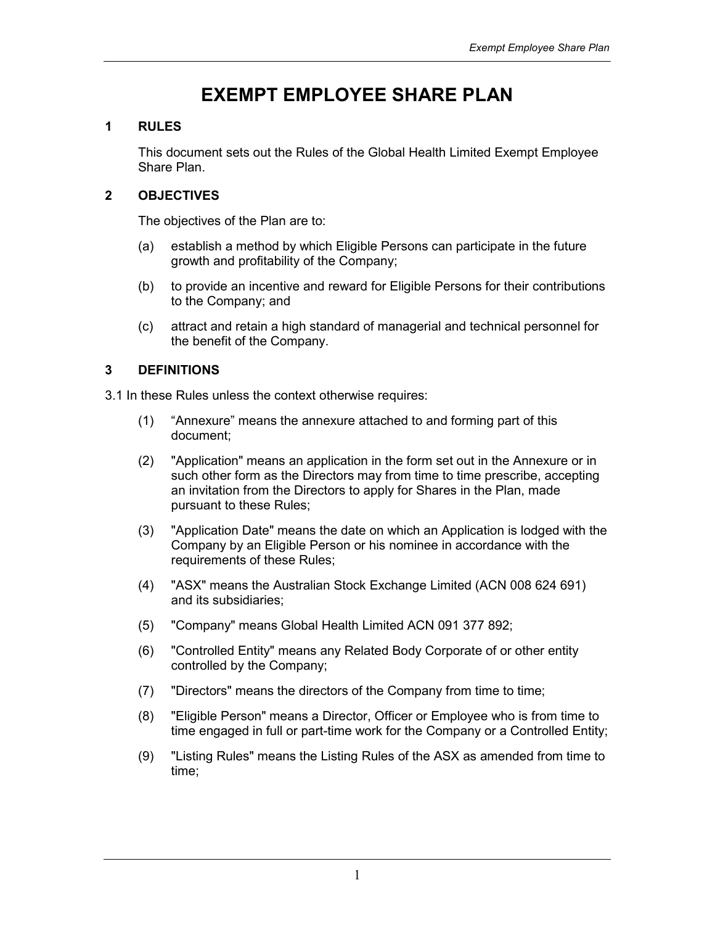# EXEMPT EMPLOYEE SHARE PLAN

# 1 RULES

This document sets out the Rules of the Global Health Limited Exempt Employee Share Plan.

# 2 OBJECTIVES

The objectives of the Plan are to:

- (a) establish a method by which Eligible Persons can participate in the future growth and profitability of the Company;
- (b) to provide an incentive and reward for Eligible Persons for their contributions to the Company; and
- (c) attract and retain a high standard of managerial and technical personnel for the benefit of the Company.

# 3 DEFINITIONS

3.1 In these Rules unless the context otherwise requires:

- (1) "Annexure" means the annexure attached to and forming part of this document;
- (2) "Application" means an application in the form set out in the Annexure or in such other form as the Directors may from time to time prescribe, accepting an invitation from the Directors to apply for Shares in the Plan, made pursuant to these Rules;
- (3) "Application Date" means the date on which an Application is lodged with the Company by an Eligible Person or his nominee in accordance with the requirements of these Rules;
- (4) "ASX" means the Australian Stock Exchange Limited (ACN 008 624 691) and its subsidiaries;
- (5) "Company" means Global Health Limited ACN 091 377 892;
- (6) "Controlled Entity" means any Related Body Corporate of or other entity controlled by the Company;
- (7) "Directors" means the directors of the Company from time to time;
- (8) "Eligible Person" means a Director, Officer or Employee who is from time to time engaged in full or part-time work for the Company or a Controlled Entity;
- (9) "Listing Rules" means the Listing Rules of the ASX as amended from time to time;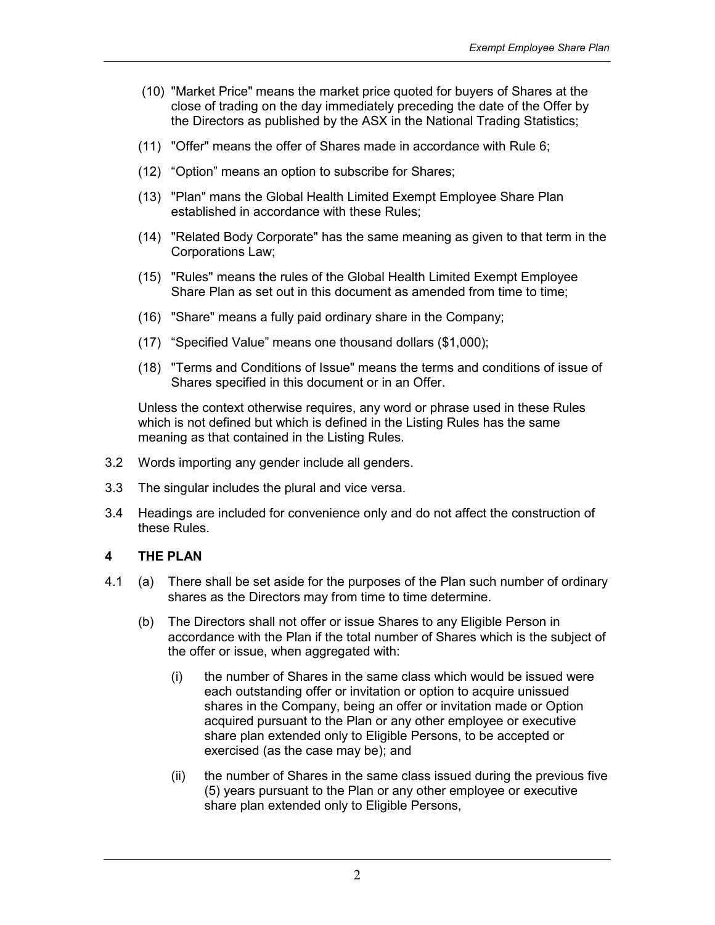- (10) "Market Price" means the market price quoted for buyers of Shares at the close of trading on the day immediately preceding the date of the Offer by the Directors as published by the ASX in the National Trading Statistics;
- (11) "Offer" means the offer of Shares made in accordance with Rule 6;
- (12) "Option" means an option to subscribe for Shares;
- (13) "Plan" mans the Global Health Limited Exempt Employee Share Plan established in accordance with these Rules;
- (14) "Related Body Corporate" has the same meaning as given to that term in the Corporations Law;
- (15) "Rules" means the rules of the Global Health Limited Exempt Employee Share Plan as set out in this document as amended from time to time:
- (16) "Share" means a fully paid ordinary share in the Company;
- (17) "Specified Value" means one thousand dollars (\$1,000);
- (18) "Terms and Conditions of Issue" means the terms and conditions of issue of Shares specified in this document or in an Offer.

Unless the context otherwise requires, any word or phrase used in these Rules which is not defined but which is defined in the Listing Rules has the same meaning as that contained in the Listing Rules.

- 3.2 Words importing any gender include all genders.
- 3.3 The singular includes the plural and vice versa.
- 3.4 Headings are included for convenience only and do not affect the construction of these Rules.

# 4 THE PLAN

- 4.1 (a) There shall be set aside for the purposes of the Plan such number of ordinary shares as the Directors may from time to time determine.
	- (b) The Directors shall not offer or issue Shares to any Eligible Person in accordance with the Plan if the total number of Shares which is the subject of the offer or issue, when aggregated with:
		- (i) the number of Shares in the same class which would be issued were each outstanding offer or invitation or option to acquire unissued shares in the Company, being an offer or invitation made or Option acquired pursuant to the Plan or any other employee or executive share plan extended only to Eligible Persons, to be accepted or exercised (as the case may be); and
		- (ii) the number of Shares in the same class issued during the previous five (5) years pursuant to the Plan or any other employee or executive share plan extended only to Eligible Persons,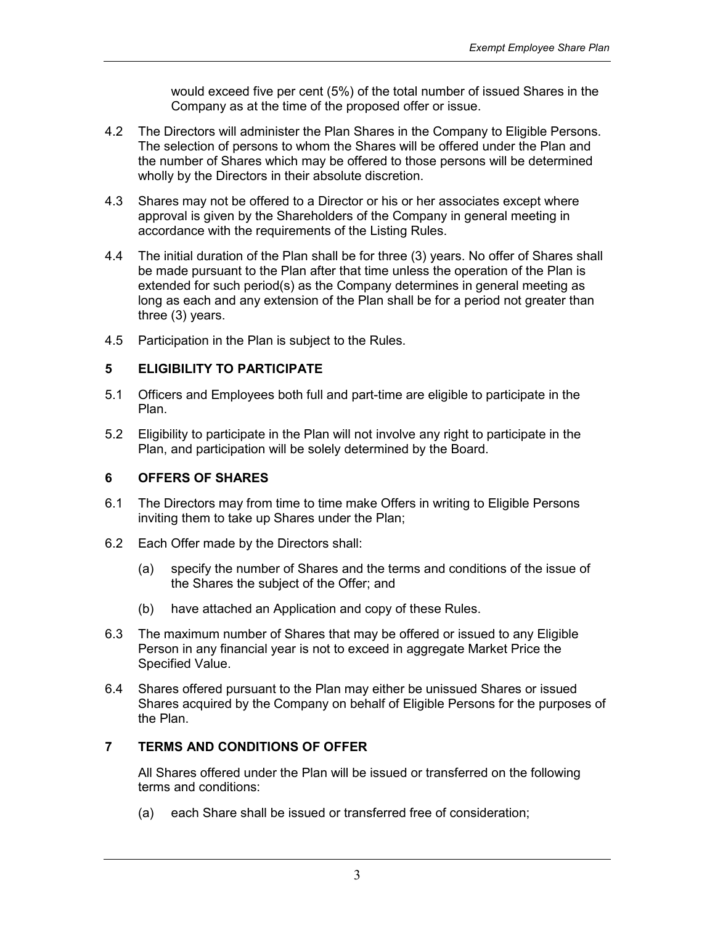would exceed five per cent (5%) of the total number of issued Shares in the Company as at the time of the proposed offer or issue.

- 4.2 The Directors will administer the Plan Shares in the Company to Eligible Persons. The selection of persons to whom the Shares will be offered under the Plan and the number of Shares which may be offered to those persons will be determined wholly by the Directors in their absolute discretion.
- 4.3 Shares may not be offered to a Director or his or her associates except where approval is given by the Shareholders of the Company in general meeting in accordance with the requirements of the Listing Rules.
- 4.4 The initial duration of the Plan shall be for three (3) years. No offer of Shares shall be made pursuant to the Plan after that time unless the operation of the Plan is extended for such period(s) as the Company determines in general meeting as long as each and any extension of the Plan shall be for a period not greater than three (3) years.
- 4.5 Participation in the Plan is subject to the Rules.

# 5 ELIGIBILITY TO PARTICIPATE

- 5.1 Officers and Employees both full and part-time are eligible to participate in the Plan.
- 5.2 Eligibility to participate in the Plan will not involve any right to participate in the Plan, and participation will be solely determined by the Board.

# 6 OFFERS OF SHARES

- 6.1 The Directors may from time to time make Offers in writing to Eligible Persons inviting them to take up Shares under the Plan;
- 6.2 Each Offer made by the Directors shall:
	- (a) specify the number of Shares and the terms and conditions of the issue of the Shares the subject of the Offer; and
	- (b) have attached an Application and copy of these Rules.
- 6.3 The maximum number of Shares that may be offered or issued to any Eligible Person in any financial year is not to exceed in aggregate Market Price the Specified Value.
- 6.4 Shares offered pursuant to the Plan may either be unissued Shares or issued Shares acquired by the Company on behalf of Eligible Persons for the purposes of the Plan.

# 7 TERMS AND CONDITIONS OF OFFER

All Shares offered under the Plan will be issued or transferred on the following terms and conditions:

(a) each Share shall be issued or transferred free of consideration;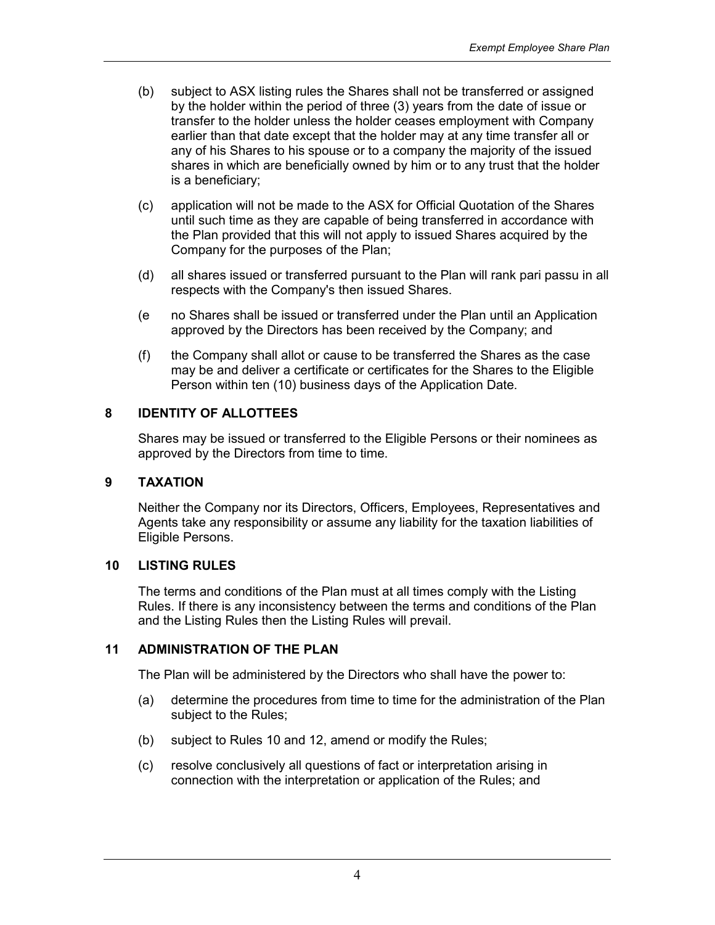- (b) subject to ASX listing rules the Shares shall not be transferred or assigned by the holder within the period of three (3) years from the date of issue or transfer to the holder unless the holder ceases employment with Company earlier than that date except that the holder may at any time transfer all or any of his Shares to his spouse or to a company the majority of the issued shares in which are beneficially owned by him or to any trust that the holder is a beneficiary;
- (c) application will not be made to the ASX for Official Quotation of the Shares until such time as they are capable of being transferred in accordance with the Plan provided that this will not apply to issued Shares acquired by the Company for the purposes of the Plan;
- (d) all shares issued or transferred pursuant to the Plan will rank pari passu in all respects with the Company's then issued Shares.
- (e no Shares shall be issued or transferred under the Plan until an Application approved by the Directors has been received by the Company; and
- (f) the Company shall allot or cause to be transferred the Shares as the case may be and deliver a certificate or certificates for the Shares to the Eligible Person within ten (10) business days of the Application Date.

#### 8 IDENTITY OF ALLOTTEES

Shares may be issued or transferred to the Eligible Persons or their nominees as approved by the Directors from time to time.

#### 9 TAXATION

Neither the Company nor its Directors, Officers, Employees, Representatives and Agents take any responsibility or assume any liability for the taxation liabilities of Eligible Persons.

#### 10 LISTING RULES

The terms and conditions of the Plan must at all times comply with the Listing Rules. If there is any inconsistency between the terms and conditions of the Plan and the Listing Rules then the Listing Rules will prevail.

#### 11 ADMINISTRATION OF THE PLAN

The Plan will be administered by the Directors who shall have the power to:

- (a) determine the procedures from time to time for the administration of the Plan subject to the Rules;
- (b) subject to Rules 10 and 12, amend or modify the Rules;
- (c) resolve conclusively all questions of fact or interpretation arising in connection with the interpretation or application of the Rules; and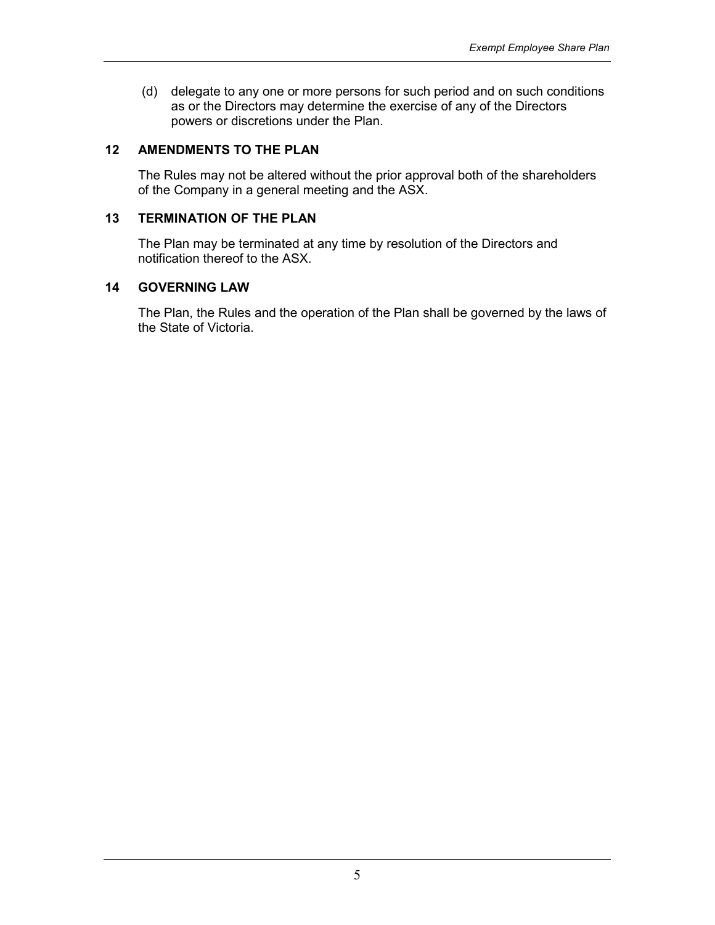(d) delegate to any one or more persons for such period and on such conditions as or the Directors may determine the exercise of any of the Directors powers or discretions under the Plan.

# 12 AMENDMENTS TO THE PLAN

The Rules may not be altered without the prior approval both of the shareholders of the Company in a general meeting and the ASX.

#### 13 TERMINATION OF THE PLAN

The Plan may be terminated at any time by resolution of the Directors and notification thereof to the ASX.

#### 14 GOVERNING LAW

The Plan, the Rules and the operation of the Plan shall be governed by the laws of the State of Victoria.